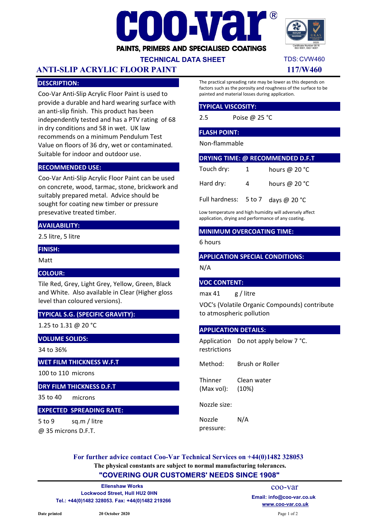



## TECHNICAL DATA SHEET

# ANTI-SLIP ACRYLIC FLOOR PAINT 117/W460

## DESCRIPTION:

Coo-Var Anti-Slip Acrylic Floor Paint is used to provide a durable and hard wearing surface with an anti-slip finish. This product has been independently tested and has a PTV rating of 68 in dry conditions and 58 in wet. UK law recommends on a minimum Pendulum Test Value on floors of 36 dry, wet or contaminated. Suitable for indoor and outdoor use.

## RECOMMENDED USE:

Coo-Var Anti-Slip Acrylic Floor Paint can be used on concrete, wood, tarmac, stone, brickwork and suitably prepared metal. Advice should be sought for coating new timber or pressure presevative treated timber.

### AVAILABILITY:

2.5 litre, 5 litre

#### FINISH:

Matt

## COLOUR:

Tile Red, Grey, Light Grey, Yellow, Green, Black and White. Also available in Clear (Higher gloss level than coloured versions).

## TYPICAL S.G. (SPECIFIC GRAVITY):

1.25 to 1.31 @ 20 °C

### VOLUME SOLIDS:

34 to 36%

## WET FILM THICKNESS W.F.T

100 to 110 microns

### DRY FILM THICKNESS D.F.T

35 to 40 microns

#### EXPECTED SPREADING RATE:

5 to 9 @ 35 microns D.F.T. sq.m / litre The practical spreading rate may be lower as this depends on factors such as the porosity and roughness of the surface to be painted and material losses during application.

#### TYPICAL VISCOSITY:

2.5 Poise @ 25 °C

### FLASH POINT:

Non-flammable

| <b>DRYING TIME: @ RECOMMENDED D.F.T</b>       |              |                         |
|-----------------------------------------------|--------------|-------------------------|
| Touch dry:                                    | $\mathbf{1}$ | hours @ 20 $^{\circ}$ C |
| Hard dry:                                     | 4            | hours @ $20 °C$         |
| Full hardness: $5 \text{ to } 7$ days @ 20 °C |              |                         |

Low temperature and high humidity will adversely affect application, drying and performance of any coating.

## MINIMUM OVERCOATING TIME:

6 hours

#### APPLICATION SPECIAL CONDITIONS:

N/A

#### VOC CONTENT:

max 41 g / litre

VOC's (Volatile Organic Compounds) contribute to atmospheric pollution

#### APPLICATION DETAILS:

Application Do not apply below 7 °C. restrictions

Method: Brush or Roller

**Thinner** (Max vol): Clean water (10%)

Nozzle size:

Nozzle pressure: N/A

The physical constants are subject to normal manufacturing tolerances. For further advice contact Coo-Var Technical Services on +44(0)1482 328053

## "COVERING OUR CUSTOMERS' NEEDS SINCE 1908"

Lockwood Street, Hull HU2 0HN Tel.: +44(0)1482 328053. Fax: +44(0)1482 219266 www.coo-var.co.uk Ellenshaw Works

coo-var Email: info@coo-var.co.uk